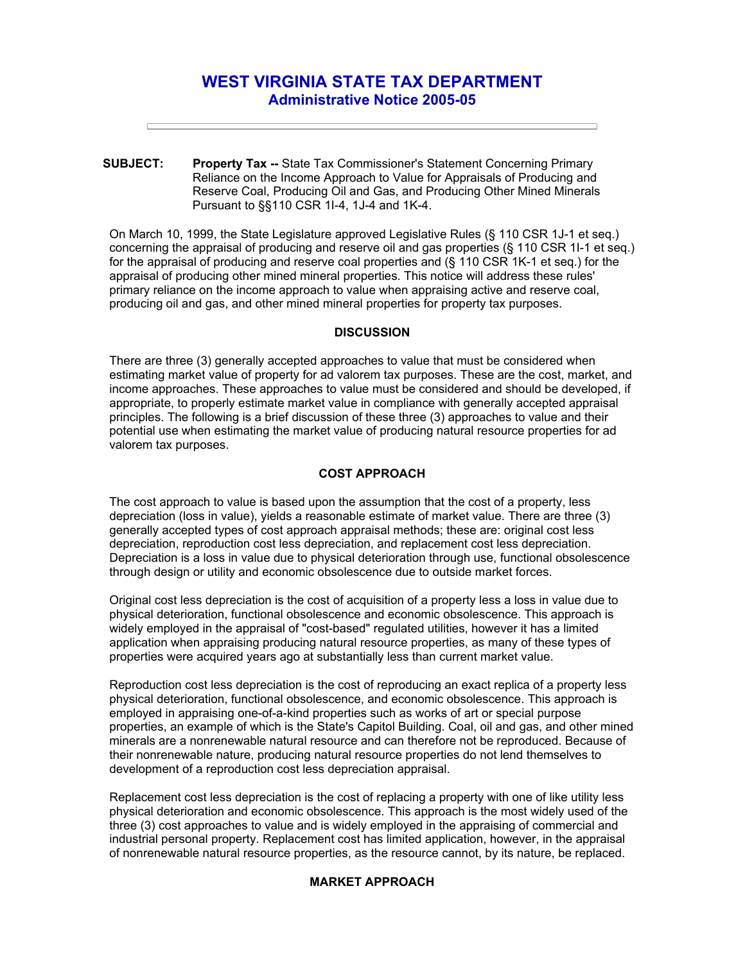# **WEST VIRGINIA STATE TAX DEPARTMENT Administrative Notice 2005-05**

**SUBJECT: Property Tax --** State Tax Commissioner's Statement Concerning Primary Reliance on the Income Approach to Value for Appraisals of Producing and Reserve Coal, Producing Oil and Gas, and Producing Other Mined Minerals Pursuant to §§110 CSR 1I-4, 1J-4 and 1K-4.

On March 10, 1999, the State Legislature approved Legislative Rules (§ 110 CSR 1J-1 et seq.) concerning the appraisal of producing and reserve oil and gas properties (§ 110 CSR 1I-1 et seq.) for the appraisal of producing and reserve coal properties and (§ 110 CSR 1K-1 et seq.) for the appraisal of producing other mined mineral properties. This notice will address these rules' primary reliance on the income approach to value when appraising active and reserve coal, producing oil and gas, and other mined mineral properties for property tax purposes.

## **DISCUSSION**

There are three (3) generally accepted approaches to value that must be considered when estimating market value of property for ad valorem tax purposes. These are the cost, market, and income approaches. These approaches to value must be considered and should be developed, if appropriate, to properly estimate market value in compliance with generally accepted appraisal principles. The following is a brief discussion of these three (3) approaches to value and their potential use when estimating the market value of producing natural resource properties for ad valorem tax purposes.

### **COST APPROACH**

The cost approach to value is based upon the assumption that the cost of a property, less depreciation (loss in value), yields a reasonable estimate of market value. There are three (3) generally accepted types of cost approach appraisal methods; these are: original cost less depreciation, reproduction cost less depreciation, and replacement cost less depreciation. Depreciation is a loss in value due to physical deterioration through use, functional obsolescence through design or utility and economic obsolescence due to outside market forces.

Original cost less depreciation is the cost of acquisition of a property less a loss in value due to physical deterioration, functional obsolescence and economic obsolescence. This approach is widely employed in the appraisal of "cost-based" regulated utilities, however it has a limited application when appraising producing natural resource properties, as many of these types of properties were acquired years ago at substantially less than current market value.

Reproduction cost less depreciation is the cost of reproducing an exact replica of a property less physical deterioration, functional obsolescence, and economic obsolescence. This approach is employed in appraising one-of-a-kind properties such as works of art or special purpose properties, an example of which is the State's Capitol Building. Coal, oil and gas, and other mined minerals are a nonrenewable natural resource and can therefore not be reproduced. Because of their nonrenewable nature, producing natural resource properties do not lend themselves to development of a reproduction cost less depreciation appraisal.

Replacement cost less depreciation is the cost of replacing a property with one of like utility less physical deterioration and economic obsolescence. This approach is the most widely used of the three (3) cost approaches to value and is widely employed in the appraising of commercial and industrial personal property. Replacement cost has limited application, however, in the appraisal of nonrenewable natural resource properties, as the resource cannot, by its nature, be replaced.

# **MARKET APPROACH**